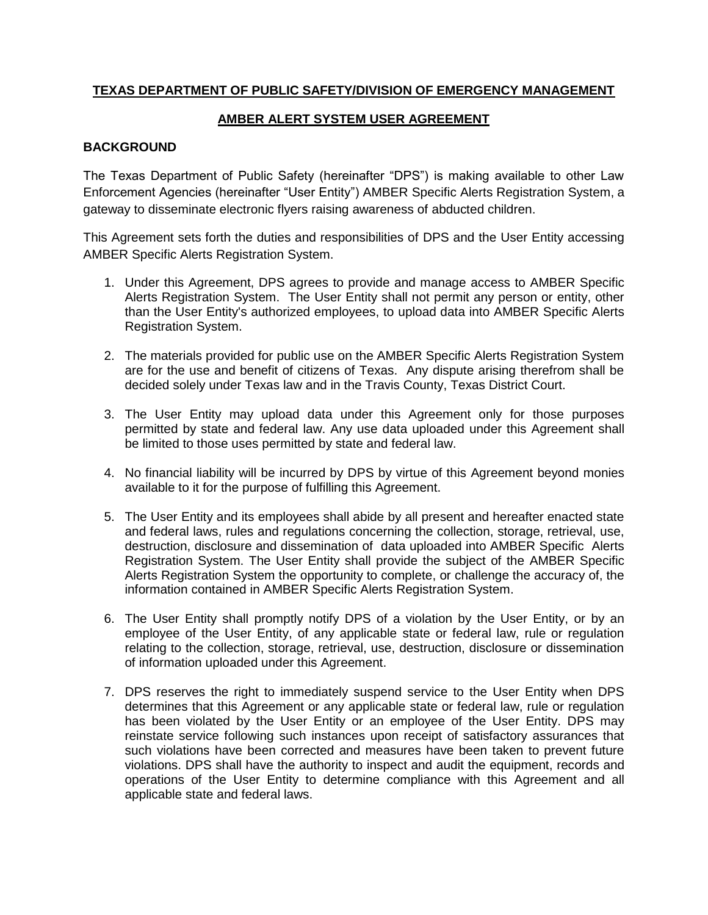## **TEXAS DEPARTMENT OF PUBLIC SAFETY/DIVISION OF EMERGENCY MANAGEMENT**

## **AMBER ALERT SYSTEM USER AGREEMENT**

## **BACKGROUND**

The Texas Department of Public Safety (hereinafter "DPS") is making available to other Law Enforcement Agencies (hereinafter "User Entity") AMBER Specific Alerts Registration System, a gateway to disseminate electronic flyers raising awareness of abducted children.

This Agreement sets forth the duties and responsibilities of DPS and the User Entity accessing AMBER Specific Alerts Registration System.

- 1. Under this Agreement, DPS agrees to provide and manage access to AMBER Specific Alerts Registration System. The User Entity shall not permit any person or entity, other than the User Entity's authorized employees, to upload data into AMBER Specific Alerts Registration System.
- 2. The materials provided for public use on the AMBER Specific Alerts Registration System are for the use and benefit of citizens of Texas. Any dispute arising therefrom shall be decided solely under Texas law and in the Travis County, Texas District Court.
- 3. The User Entity may upload data under this Agreement only for those purposes permitted by state and federal law. Any use data uploaded under this Agreement shall be limited to those uses permitted by state and federal law.
- 4. No financial liability will be incurred by DPS by virtue of this Agreement beyond monies available to it for the purpose of fulfilling this Agreement.
- 5. The User Entity and its employees shall abide by all present and hereafter enacted state and federal laws, rules and regulations concerning the collection, storage, retrieval, use, destruction, disclosure and dissemination of data uploaded into AMBER Specific Alerts Registration System. The User Entity shall provide the subject of the AMBER Specific Alerts Registration System the opportunity to complete, or challenge the accuracy of, the information contained in AMBER Specific Alerts Registration System.
- 6. The User Entity shall promptly notify DPS of a violation by the User Entity, or by an employee of the User Entity, of any applicable state or federal law, rule or regulation relating to the collection, storage, retrieval, use, destruction, disclosure or dissemination of information uploaded under this Agreement.
- 7. DPS reserves the right to immediately suspend service to the User Entity when DPS determines that this Agreement or any applicable state or federal law, rule or regulation has been violated by the User Entity or an employee of the User Entity. DPS may reinstate service following such instances upon receipt of satisfactory assurances that such violations have been corrected and measures have been taken to prevent future violations. DPS shall have the authority to inspect and audit the equipment, records and operations of the User Entity to determine compliance with this Agreement and all applicable state and federal laws.